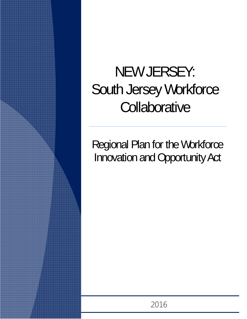# NEW JERSEY: South Jersey Workforce Collaborative

Regional Plan for the Workforce Innovation and Opportunity Act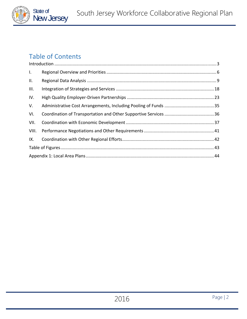

## Table of Contents

| $\mathbf{L}$ |  |
|--------------|--|
| II.          |  |
| III.         |  |
| IV.          |  |
| V.           |  |
| VI.          |  |
| VII.         |  |
| VIII.        |  |
| IX.          |  |
|              |  |
|              |  |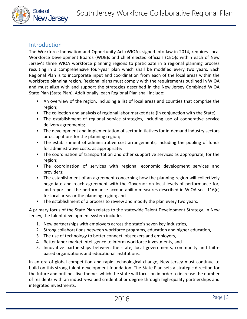

## **Introduction**

The Workforce Innovation and Opportunity Act (WIOA), signed into law in 2014, requires Local Workforce Development Boards (WDB)s and chief elected officials (CEO)s within each of New Jersey's three WIOA workforce planning regions to participate in a regional planning process resulting in a comprehensive four‐year plan which shall be modified every two years. Each Regional Plan is to incorporate input and coordination from each of the local areas within the workforce planning region. Regional plans must comply with the requirements outlined in WIOA and must align with and support the strategies described in the New Jersey Combined WIOA State Plan (State Plan). Additionally, each Regional Plan shall include:

- An overview of the region, including a list of local areas and counties that comprise the region;
- The collection and analysis of regional labor market data (in conjunction with the State)
- The establishment of regional service strategies, including use of cooperative service delivery agreements;
- The development and implementation of sector initiatives for in‐demand industry sectors or occupations for the planning region;
- The establishment of administrative cost arrangements, including the pooling of funds for administrative costs, as appropriate;
- The coordination of transportation and other supportive services as appropriate, for the region;
- The coordination of services with regional economic development services and providers;
- The establishment of an agreement concerning how the planning region will collectively negotiate and reach agreement with the Governor on local levels of performance for, and report on, the performance accountability measures described in WIOA sec. 116(c) for local areas or the planning region; and
- The establishment of a process to review and modify the plan every two years.

A primary focus of the State Plan relates to the statewide Talent Development Strategy. In New Jersey, the talent development system includes:

- 1. New partnerships with employers across the state's seven key industries,
- 2. Strong collaborations between workforce programs, education and higher education,
- 3. The use of technology to better connect jobseekers and employers,
- 4. Better labor market intelligence to inform workforce investments, and
- 5. Innovative partnerships between the state, local governments, community and faith‐ based organizations and educational institutions.

In an era of global competition and rapid technological change, New Jersey must continue to build on this strong talent development foundation. The State Plan sets a strategic direction for the future and outlines five themes which the state will focus on in order to increase the number of residents with an industry‐valued credential or degree through high‐quality partnerships and integrated investments.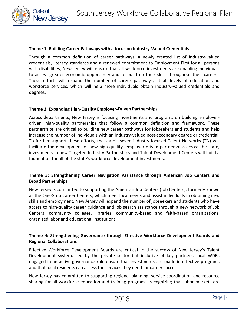

#### **Theme 1: Building Career Pathways with a focus on Industry‐Valued Credentials**

Through a common definition of career pathways, a newly created list of industry‐valued credentials, literacy standards and a renewed commitment to Employment First for all persons with disabilities, New Jersey will ensure that all workforce investments are enabling individuals to access greater economic opportunity and to build on their skills throughout their careers. These efforts will expand the number of career pathways, at all levels of education and workforce services, which will help more individuals obtain industry-valued credentials and degrees.

#### **Theme 2: Expanding High‐Quality Employer‐Driven Partnerships**

Across departments, New Jersey is focusing investments and programs on building employer‐ driven, high‐quality partnerships that follow a common definition and framework. These partnerships are critical to building new career pathways for jobseekers and students and help increase the number of individuals with an industry‐valued post‐secondary degree or credential. To further support these efforts, the state's seven industry‐focused Talent Networks (TN) will facilitate the development of new high-quality, employer-driven partnerships across the state; investments in new Targeted Industry Partnerships and Talent Development Centers will build a foundation for all of the state's workforce development investments.

#### **Theme 3: Strengthening Career Navigation Assistance through American Job Centers and Broad Partnerships**

New Jersey is committed to supporting the American Job Centers (Job Centers), formerly known as the One‐Stop Career Centers, which meet local needs and assist individuals in obtaining new skills and employment. New Jersey will expand the number of jobseekers and students who have access to high‐quality career guidance and job search assistance through a new network of Job Centers, community colleges, libraries, community‐based and faith‐based organizations, organized labor and educational institutions.

#### **Theme 4: Strengthening Governance through Effective Workforce Development Boards and Regional Collaborations**

Effective Workforce Development Boards are critical to the success of New Jersey's Talent Development system. Led by the private sector but inclusive of key partners, local WDBs engaged in an active governance role ensure that investments are made in effective programs and that local residents can access the services they need for career success.

New Jersey has committed to supporting regional planning, service coordination and resource sharing for all workforce education and training programs, recognizing that labor markets are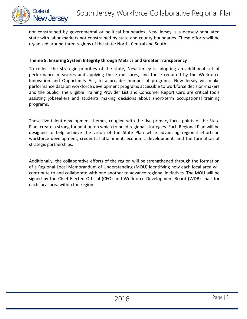

not constrained by governmental or political boundaries. New Jersey is a densely‐populated state with labor markets not constrained by state and county boundaries. These efforts will be organized around three regions of the state: North, Central and South.

#### **Theme 5: Ensuring System Integrity through Metrics and Greater Transparency**

To reflect the strategic priorities of the state, New Jersey is adopting an additional set of performance measures and applying these measures, and those required by the Workforce Innovation and Opportunity Act, to a broader number of programs. New Jersey will make performance data on workforce development programs accessible to workforce decision‐makers and the public. The Eligible Training Provider List and Consumer Report Card are critical tools assisting jobseekers and students making decisions about short‐term occupational training programs.

These five talent development themes, coupled with the five primary focus points of the State Plan, create a strong foundation on which to build regional strategies. Each Regional Plan will be designed to help achieve the vision of the State Plan while advancing regional efforts in workforce development, credential attainment, economic development, and the formation of strategic partnerships.

Additionally, the collaborative efforts of the region will be strengthened through the formation of a Regional‐Local Memorandum of Understanding (MOU) identifying how each local area will contribute to and collaborate with one another to advance regional initiatives. The MOU will be signed by the Chief Elected Official (CEO) and Workforce Development Board (WDB) chair for each local area within the region.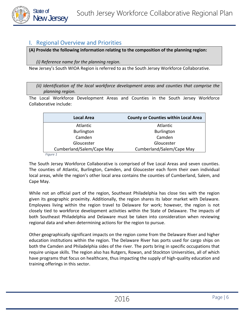

## I. Regional Overview and Priorities

**(A) Provide the following information relating to the composition of the planning region:**

*(i) Reference name for the planning region.*

New Jersey's South WIOA Region is referred to as the South Jersey Workforce Collaborative.

*(ii) Identification of the local workforce development areas and counties that comprise the planning region.*

The Local Workforce Development Areas and Counties in the South Jersey Workforce Collaborative include:

| <b>Local Area</b>         | <b>County or Counties within Local Area</b> |
|---------------------------|---------------------------------------------|
| Atlantic                  | <b>Atlantic</b>                             |
| <b>Burlington</b>         | <b>Burlington</b>                           |
| Camden                    | Camden                                      |
| Gloucester                | Gloucester                                  |
| Cumberland/Salem/Cape May | Cumberland/Salem/Cape May                   |
| Figure 1                  |                                             |

The South Jersey Workforce Collaborative is comprised of five Local Areas and seven counties. The counties of Atlantic, Burlington, Camden, and Gloucester each form their own individual local areas, while the region's other local area contains the counties of Cumberland, Salem, and Cape May.

While not an official part of the region, Southeast Philadelphia has close ties with the region given its geographic proximity. Additionally, the region shares its labor market with Delaware. Employees living within the region travel to Delaware for work; however, the region is not closely tied to workforce development activities within the State of Delaware. The impacts of both Southeast Philadelphia and Delaware must be taken into consideration when reviewing regional data and when determining actions for the region to pursue.

Other geographically significant impacts on the region come from the Delaware River and higher education institutions within the region. The Delaware River has ports used for cargo ships on both the Camden and Philadelphia sides of the river. The ports bring in specific occupations that require unique skills. The region also has Rutgers, Rowan, and Stockton Universities, all of which have programs that focus on healthcare, thus impacting the supply of high-quality education and training offerings in this sector.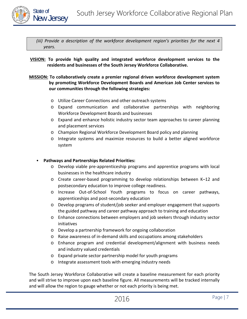*(iii) Provide a description of the workforce development region's priorities for the next 4 years.*

**VISION: To provide high quality and integrated workforce development services to the residents and businesses of the South Jersey Workforce Collaborative.**

#### **MISSION: To collaboratively create a premier regional driven workforce development system by promoting Workforce Development Boards and American Job Center services to our communities through the following strategies:**

- o Utilize Career Connections and other outreach systems
- o Expand communication and collaborative partnerships with neighboring Workforce Development Boards and businesses
- o Expand and enhance holistic industry sector team approaches to career planning and placement services
- o Champion Regional Workforce Development Board policy and planning
- o Integrate systems and maximize resources to build a better aligned workforce system

#### • **Pathways and Partnerships Related Priorities:**

State of

- o Develop viable pre‐apprenticeship programs and apprentice programs with local businesses in the healthcare industry
- o Create career‐based programming to develop relationships between K–12 and postsecondary education to improve college readiness.
- o Increase Out‐of‐School Youth programs to focus on career pathways, apprenticeships and post‐secondary education
- o Develop programs of student/job seeker and employer engagement that supports the guided pathway and career pathway approach to training and education
- o Enhance connections between employers and job seekers through industry sector initiatives
- o Develop a partnership framework for ongoing collaboration
- o Raise awareness of in‐demand skills and occupations among stakeholders
- o Enhance program and credential development/alignment with business needs and industry valued credentials
- o Expand private sector partnership model for youth programs
- o Integrate assessment tools with emerging industry needs

The South Jersey Workforce Collaborative will create a baseline measurement for each priority and will strive to improve upon each baseline figure. All measurements will be tracked internally and will allow the region to gauge whether or not each priority is being met.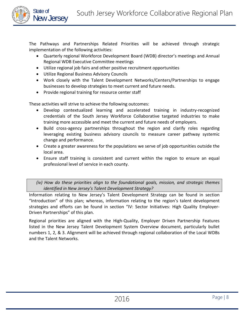



The Pathways and Partnerships Related Priorities will be achieved through strategic implementation of the following activities:

- Quarterly regional Workforce Development Board (WDB) director's meetings and Annual Regional WDB Executive Committee meetings
- Utilize regional job fairs and other positive recruitment opportunities
- Utilize Regional Business Advisory Councils
- Work closely with the Talent Development Networks/Centers/Partnerships to engage businesses to develop strategies to meet current and future needs.
- Provide regional training for resource center staff

These activities will strive to achieve the following outcomes:

- Develop contextualized learning and accelerated training in industry‐recognized credentials of the South Jersey Workforce Collaborative targeted industries to make training more accessible and meet the current and future needs of employers.
- Build cross-agency partnerships throughout the region and clarify roles regarding leveraging existing business advisory councils to measure career pathway systemic change and performance.
- Create a greater awareness for the populations we serve of job opportunities outside the local area.
- Ensure staff training is consistent and current within the region to ensure an equal professional level of service in each county.

*(iv) How do these priorities align to the foundational goals, mission, and strategic themes identified in New Jersey's Talent Development Strategy?*

Information relating to New Jersey's Talent Development Strategy can be found in section "Introduction" of this plan; whereas, information relating to the region's talent development strategies and efforts can be found in section "IV: Sector Initiatives: High Quality Employer‐ Driven Partnerships" of this plan.

Regional priorities are aligned with the High‐Quality, Employer Driven Partnership Features listed in the New Jersey Talent Development System Overview document, particularly bullet numbers 1, 2, & 3. Alignment will be achieved through regional collaboration of the Local WDBs and the Talent Networks.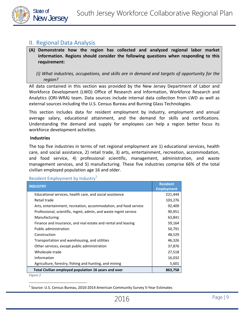

### II. Regional Data Analysis

**(A) Demonstrate how the region has collected and analyzed regional labor market information. Regions should consider the following questions when responding to this requirement:**

*(i) What industries, occupations, and skills are in demand and targets of opportunity for the region?*

All data contained in this section was provided by the New Jersey Department of Labor and Workforce Development (LWD) Office of Research and Information, Workforce Research and Analytics (ORI‐WRA) team. Data sources include internal data collection from LWD as well as external sources including the U.S. Census Bureau and Burning Glass Technologies.

This section includes data for resident employment by industry, employment and annual average salary, educational attainment, and the demand for skills and certifications. Understanding the demand and supply for employees can help a region better focus its workforce development activities.

#### **Industries**

The top five industries in terms of net regional employment are 1) educational services, health care, and social assistance, 2) retail trade, 3) arts, entertainment, recreation, accommodation, and food service, 4) professional scientific, management, administration, and waste management services, and 5) manufacturing. These five industries comprise 66% of the total civilian employed population age 16 and older.

Resident Employment by Industry<sup>1</sup>

| <b>INDUSTRY</b>                                                  | <b>Resident</b><br><b>Employment</b> |
|------------------------------------------------------------------|--------------------------------------|
| Educational services, health care, and social assistance         | 221,444                              |
| Retail trade                                                     | 103,276                              |
| Arts, entertainment, recreation, accommodation, and food service | 92,409                               |
| Professional, scientific, mgmt, admin, and waste mgmt service    | 90,951                               |
| Manufacturing                                                    | 63,841                               |
| Finance and insurance, and real estate and rental and leasing    | 59,164                               |
| Public administration                                            | 50,791                               |
| Construction                                                     | 48,529                               |
| Transportation and warehousing, and utilities                    | 46,326                               |
| Other services, except public administration                     | 37,876                               |
| Wholesale trade                                                  | 27,518                               |
| Information                                                      | 16,032                               |
| Agriculture, forestry, fishing and hunting, and mining           | 5,601                                |
| Total Civilian employed population 16 years and over             | 863,758                              |

*Figure 2*

  $<sup>1</sup>$  Source: U.S. Census Bureau, 2010-2014 American Community Survey 5-Year Estimates</sup>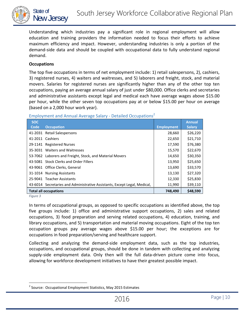

Understanding which industries pay a significant role in regional employment will allow education and training providers the information needed to focus their efforts to achieve maximum efficiency and impact. However, understanding industries is only a portion of the demand‐side data and should be coupled with occupational data to fully understand regional demand.

#### **Occupations**

The top five occupations in terms of net employment include: 1) retail salespersons, 2), cashiers, 3) registered nurses, 4) waiters and waitresses, and 5) laborers and freight, stock, and material movers. Salaries for registered nurses are significantly higher than any of the other top ten occupations, paying an average annual salary of just under \$80,000. Office clerks and secretaries and administrative assistants except legal and medical each have average wages above \$15.00 per hour, while the other seven top occupations pay at or below \$15.00 per hour on average (based on a 2,000 hour work year).

| Linployment and Annual Average Jalary - Detailed Occupations |                                                                           |                   |               |  |  |  |
|--------------------------------------------------------------|---------------------------------------------------------------------------|-------------------|---------------|--|--|--|
| <b>SOC</b>                                                   |                                                                           |                   | <b>Annual</b> |  |  |  |
| Code                                                         | <b>Occupation</b>                                                         | <b>Employment</b> | <b>Salary</b> |  |  |  |
|                                                              | 41-2031 Retail Salespersons                                               | 28,660            | \$26,220      |  |  |  |
|                                                              | 41-2011 Cashiers                                                          | 22,650            | \$21,710      |  |  |  |
|                                                              | 29-1141 Registered Nurses                                                 | 17,590            | \$76,380      |  |  |  |
|                                                              | 35-3031 Waiters and Waitresses                                            | 15,570            | \$22,670      |  |  |  |
|                                                              | 53-7062 Laborers and Freight, Stock, and Material Movers                  | 14,650            | \$30,350      |  |  |  |
|                                                              | 43-5081 Stock Clerks and Order Fillers                                    | 13,950            | \$25,650      |  |  |  |
|                                                              | 43-9061 Office Clerks, General                                            | 13,690            | \$33,570      |  |  |  |
|                                                              | 31-1014 Nursing Assistants                                                | 13,130            | \$27,320      |  |  |  |
|                                                              | 25-9041 Teacher Assistants                                                | 12,330            | \$25,830      |  |  |  |
|                                                              | 43-6014 Secretaries and Administrative Assistants, Except Legal, Medical, | 11,990            | \$39,110      |  |  |  |
|                                                              | <b>Total all occupations</b>                                              | 748,490           | \$48,590      |  |  |  |

Employment and Annual Average Salary - Detailed Occupations<sup>2</sup>

*Figure 3*

In terms of occupational groups, as opposed to specific occupations as identified above, the top five groups include: 1) office and administrative support occupations, 2) sales and related occupations, 3) food preparation and serving related occupations, 4) education, training, and library occupations, and 5) transportation and material moving occupations. Eight of the top ten occupation groups pay average wages above \$15.00 per hour; the exceptions are for occupations in food preparation/serving and healthcare support.

Collecting and analyzing the demand‐side employment data, such as the top industries, occupations, and occupational groups, should be done in tandem with collecting and analyzing supply-side employment data. Only then will the full data-driven picture come into focus, allowing for workforce development initiatives to have their greatest possible impact.

<sup>&</sup>lt;sup>2</sup> Source: Occupational Employment Statistics, May 2015 Estimates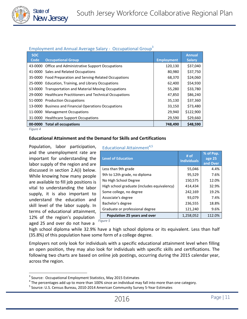

#### Employment and Annual Average Salary - Occupational Group<sup>3</sup>

| <b>SOC</b> |                                                            |                   | <b>Annual</b> |
|------------|------------------------------------------------------------|-------------------|---------------|
| Code       | <b>Occupational Group</b>                                  | <b>Employment</b> | <b>Salary</b> |
|            | 43-0000 Office and Administrative Support Occupations      | 120,130           | \$37,040      |
|            | 41-0000 Sales and Related Occupations                      | 80,980            | \$37,750      |
|            | 35-0000 Food Preparation and Serving-Related Occupations   | 68,370            | \$24,060      |
|            | 25-0000 Education, Training, and Library Occupations       | 62,400            | \$54,930      |
|            | 53-0000 Transportation and Material Moving Occupations     | 55,280            | \$33,780      |
|            | 29-0000 Healthcare Practitioners and Technical Occupations | 47,850            | \$86,240      |
|            | 51-0000 Production Occupations                             | 35,130            | \$37,360      |
|            | 13-0000 Business and Financial Operations Occupations      | 33,150            | \$73,480      |
| 11-0000    | <b>Management Occupations</b>                              | 29,940            | \$122,900     |
|            | 31-0000 Healthcare Support Occupations                     | 29,590            | \$29,660      |
|            | 00-0000 Total all occupations                              | 748,490           | \$48,590      |

*Figure 4*

#### **Educational Attainment and the Demand for Skills and Certifications**

Population, labor participation, and the unemployment rate are important for understanding the labor supply of the region and are discussed in section 2.A(i) below. While knowing how many people are available to fill job positions is vital to understanding the labor supply, it is also important to understand the education and skill level of the labor supply. In terms of educational attainment, 12% of the region's population aged 25 and over do not have a

#### **Level of Education # of Individuals % of Pop. age 25 and Over** Less than 9th grade  $\begin{array}{|c|c|c|c|c|c|c|c|c|} \hline & & 55,046 & & 4.4\% \hline \end{array}$ 9th to 12th grade, no diploma 1.5 and 1.5 and 1.6% No High School Degree 150,575 12.0% High school graduate (includes equivalency) 414,434 32.9% Some college, no degree 242,169 | 242,169 | 19.2% Associate's degree 193,079 7.4% Bachelor's degree 236,555 18.8% Graduate or professional degree 121,240 9.6%  **Population 25 years and over** 1,258,052 112.0%

*Figure 5*

high school diploma while 32.9% have a high school diploma or its equivalent. Less than half (35.8%) of this population have some form of a college degree.

Educational Attainment<sup>4,5</sup>

Employers not only look for individuals with a specific educational attainment level when filling an open position, they may also look for individuals with specific skills and certifications. The following two charts are based on online job postings, occurring during the 2015 calendar year, across the region.

<sup>&</sup>lt;sup>3</sup> Source: Occupational Employment Statistics, May 2015 Estimates<br><sup>4</sup> The percentages add up to more than 100% since an individual may fall into more than one category.<br><sup>5</sup> Source: U.S. Census Bureau, 2010-2014 American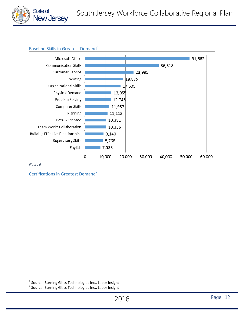

#### Baseline Skills in Greatest Demand6



*Figure 6*

Certifications in Greatest Demand<sup>7</sup>

<sup>&</sup>lt;sup>6</sup> Source: Burning Glass Technologies Inc., Labor Insight<br><sup>7</sup> Source: Burning Glass Technologies Inc., Labor Insight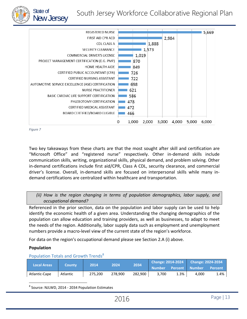

*Figure 7*

Two key takeaways from these charts are that the most sought after skill and certification are "Microsoft Office" and "registered nurse" respectively. Other in‐demand skills include communication skills, writing, organizational skills, physical demand, and problem solving. Other in‐demand certifications include first aid/CPR, Class A CDL, security clearance, and commercial driver's license. Overall, in‐demand skills are focused on interpersonal skills while many in‐ demand certifications are centralized within healthcare and transportation.

*(ii) How is the region changing in terms of population demographics, labor supply, and occupational demand?*

Referenced in the prior section, data on the population and labor supply can be used to help identify the economic health of a given area. Understanding the changing demographics of the population can allow education and training providers, as well as businesses, to adapt to meet the needs of the region. Additionally, labor supply data such as employment and unemployment numbers provide a macro‐level view of the current state of the region's workforce.

For data on the region's occupational demand please see Section 2.A (i) above.

#### **Population**

| <b>Local Areas</b> | <b>County</b> | 2034    | 2014    |         | <b>Change: 2014-2024</b> |      | <b>Change: 2024-2034</b> |         |
|--------------------|---------------|---------|---------|---------|--------------------------|------|--------------------------|---------|
|                    |               |         | 2024    |         | <b>Number</b>            |      | Percent Number           | Percent |
| Atlantic-Cape      | Atlantic      | 275,200 | 278.900 | 282,900 | 3,700                    | 1.3% | 4.000                    | $1.4\%$ |

Population Totals and Growth Trends<sup>8</sup>

 <sup>8</sup> Source: NJLWD, 2014 ‐ 2034 Population Estimates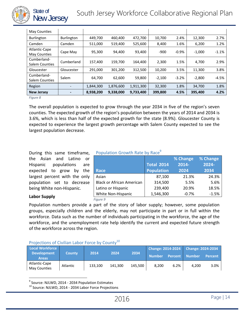

| <b>May Counties</b>                  |                   |           |           |           |          |         |          |         |
|--------------------------------------|-------------------|-----------|-----------|-----------|----------|---------|----------|---------|
| <b>Burlington</b>                    | <b>Burlington</b> | 449,700   | 460,400   | 472,700   | 10,700   | 2.4%    | 12,300   | 2.7%    |
| Camden                               | Camden            | 511,000   | 519,400   | 525,600   | 8,400    | 1.6%    | 6,200    | 1.2%    |
| Atlantic-Cape<br>May Counties        | Cape May          | 95,300    | 94,400    | 93,400    | $-900$   | $-0.9%$ | $-1,000$ | $-1.1%$ |
| Cumberland-<br><b>Salem Counties</b> | Cumberland        | 157,400   | 159,700   | 164,400   | 2,300    | 1.5%    | 4,700    | 2.9%    |
| Gloucester                           | Gloucester        | 291,000   | 301,200   | 312,500   | 10,200   | 3.5%    | 11,300   | 3.8%    |
| Cumberland-<br><b>Salem Counties</b> | Salem             | 64.700    | 62,600    | 59,800    | $-2,100$ | $-3.2%$ | $-2,800$ | $-4.5%$ |
| Region                               |                   | 1,844,300 | 1,876,600 | 1,911,300 | 32,300   | 1.8%    | 34,700   | 1.8%    |
| <b>New Jersey</b>                    |                   | 8,938,200 | 9,338,000 | 9,733,400 | 399,800  | 4.5%    | 395,400  | 4.2%    |

*Figure 8*

The overall population is expected to grow through the year 2034 in five of the region's seven counties. The expected growth of the region's population between the years of 2014 and 2034 is 3.6%, which is less than half of the expected growth for the state (8.9%). Gloucester County is expected to experience the largest growth percentage with Salem County expected to see the largest population decrease.

During this same timeframe, the Asian and Latino or Hispanic populations are expected to grow by the largest percent with the only population set to decrease being White non‐Hispanic.

#### Population Growth Rate by Race<sup>9</sup>

| <b>Total 2014</b><br><b>Population</b> | 2014-   | 2024-   |
|----------------------------------------|---------|---------|
|                                        |         |         |
|                                        | 2024    | 2034    |
| 87,100                                 | 21.3%   | 24.3%   |
| 314,500                                | 5.5%    | 5.6%    |
| 239,400                                | 20.9%   | 18.5%   |
| 1,546,300                              | $-0.7%$ | $-1.5%$ |
|                                        |         |         |

#### **Labor Supply**

Population numbers provide a part of the story of labor supply; however, some population groups, especially children and the elderly, may not participate in part or in full within the workforce. Data such as the number of individuals participating in the workforce, the age of the workforce, and the unemployment rate help identify the current and expected future strength of the workforce across the region.

#### Projections of Civilian Labor Force by County<sup>10</sup>

| Local Workforce                      |               |         |         |         |               |      | Change: 2014-2024 Change: 2024-2034 |                |
|--------------------------------------|---------------|---------|---------|---------|---------------|------|-------------------------------------|----------------|
| <b>Development</b><br><b>Areas</b>   | <b>County</b> | 2014    | 2024    | 2034    | <b>Number</b> |      | Percent Number'                     | <b>Percent</b> |
| Atlantic-Cape<br><b>May Counties</b> | Atlantic      | 133.100 | 141.300 | 145.500 | 8.200         | 6.2% | 4.200                               | 3.0%           |

<sup>&</sup>lt;sup>9</sup> Source: NJLWD, 2014 - 2034 Population Estimates <sup>10</sup> Source: NJLWD, 2014 - 2034 Labor Force Projections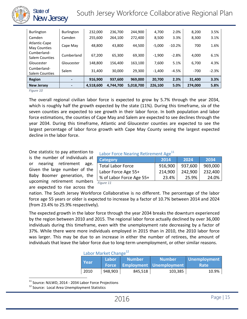

## State of South Jersey Workforce Collaborative Regional Plan<br>New Jersey

| <b>Burlington</b>                    | <b>Burlington</b> | 232,000   | 236,700   | 244,900   | 4,700    | 2.0%     | 8.200   | 3.5%    |
|--------------------------------------|-------------------|-----------|-----------|-----------|----------|----------|---------|---------|
| Camden                               | Camden            | 255,600   | 264.100   | 272,400   | 8,500    | 3.3%     | 8,300   | 3.1%    |
| Atlantic-Cape<br>May Counties        | Cape May          | 48,800    | 43,800    | 44,500    | $-5,000$ | $-10.2%$ | 700     | 1.6%    |
| Cumberland-<br><b>Salem Counties</b> | Cumberland        | 67,200    | 65.300    | 69,300    | $-1,900$ | $-2.8%$  | 4,000   | 6.1%    |
| Gloucester                           | Gloucester        | 148,800   | 156,400   | 163,100   | 7,600    | 5.1%     | 6,700   | 4.3%    |
| Cumberland-<br><b>Salem Counties</b> | Salem             | 31,400    | 30,000    | 29,300    | $-1,400$ | $-4.5%$  | $-700$  | $-2.3%$ |
| <b>Region</b>                        |                   | 916,900   | 937,600   | 969,000   | 20,700   | 2.3%     | 31,400  | 3.3%    |
| <b>New Jersey</b>                    |                   | 4,518,600 | 4.744.700 | 5,018,700 | 226.100  | 5.0%     | 274,000 | 5.8%    |

*Figure 10*

The overall regional civilian labor force is expected to grow by 5.7% through the year 2034, which is roughly half the growth expected by the state (11%). During this timeframe, six of the seven counties are expected to see growth in their labor force. In both population and labor force estimations, the counties of Cape May and Salem are expected to see declines through the year 2034. During this timeframe, Atlantic and Gloucester counties are expected to see the largest percentage of labor force growth with Cape May County seeing the largest expected decline in the labor force.

One statistic to pay attention to is the number of individuals at or nearing retirement age. Given the large number of the Baby Boomer generation, the upcoming retirement numbers are expected to rise across the

#### Labor Force Nearing Retirement Age<sup>11</sup>

| <b>Category</b>          | 2014    | 2024    | 2034    |
|--------------------------|---------|---------|---------|
| <b>Total Labor Force</b> | 916,900 | 937,600 | 969,000 |
| Labor Force Age 55+      | 214,900 | 242,900 | 232,400 |
| % of Labor Force Age 55+ | 23.4%   | 25.9%   | 24.0%   |
| Figure 11                |         |         |         |

nation. The South Jersey Workforce Collaborative is no different. The percentage of the labor force age 55 years or older is expected to increase by a factor of 10.7% between 2014 and 2024 (from 23.4% to 25.9% respectively).

The expected growth in the labor force through the year 2034 breaks the downturn experienced by the region between 2010 and 2015. The regional labor force actually declined by over 36,000 individuals during this timeframe, even with the unemployment rate decreasing by a factor of 37%. While there were more individuals employed in 2015 than in 2010, the 2010 labor force was larger. This may be due to an increase in either the number of retirees, the amount of individuals that leave the labor force due to long‐term unemployment, or other similar reasons.

| Labor Market Change <sup>12</sup> | <b>Unemployment</b>          |               |                                                 |       |
|-----------------------------------|------------------------------|---------------|-------------------------------------------------|-------|
| Year                              | <b>Labor</b><br><b>Force</b> | <b>Number</b> | <b>Number</b><br><b>Employment Unemployment</b> | Rate  |
| 2010                              | 948,903                      | 845,518       | 103,385                                         | 10.9% |

<sup>11</sup> Source: NJLWD, 2014 - 2034 Labor Force Projections<br><sup>12</sup> Source: Local Area Unemployment Statistics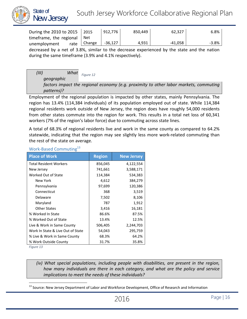

State of South Jersey Workforce Collaborative Regional Plan<br>New Jersey

| During the 2010 to 2015 | 2015   | 912,776   | 850,449 | 62.327    | 6.8%    |
|-------------------------|--------|-----------|---------|-----------|---------|
| timeframe, the regional | l Net  |           |         |           |         |
| unemployment<br>rate    | Change | $-36,127$ | 4.931   | $-41,058$ | $-3.8%$ |

decreased by a net of 3.8%, similar to the decrease experienced by the state and the nation during the same timeframe (3.9% and 4.1% respectively).

### *(III) What Figure 12*

*geographic factors impact the regional economy (e.g. proximity to other labor markets, commuting patterns)?*

Employment of the regional population is impacted by other states, mainly Pennsylvania. The region has 13.4% (114,384 individuals) of its population employed out of state. While 114,384 regional residents work outside of New Jersey, the region does have roughly 54,000 residents from other states commute into the region for work. This results in a total net loss of 60,341 workers (7% of the region's labor force) due to commuting across state lines.

A total of 68.3% of regional residents live and work in the same county as compared to 64.2% statewide, indicating that the region may see slightly less more work-related commuting than the rest of the state on average.

#### Work-Based Commuting<sup>13</sup>

| <b>Place of Work</b>              | <b>Region</b> | <b>New Jersey</b> |
|-----------------------------------|---------------|-------------------|
| <b>Total Resident Workers</b>     | 856,045       | 4,122,554         |
| New Jersey                        | 741,661       | 3,588,171         |
| Worked Out of State               | 114,384       | 534,383           |
| New York                          | 4,612         | 384,279           |
| Pennsylvania                      | 97,699        | 120,386           |
| Connecticut                       | 368           | 3,519             |
| Delaware                          | 7,502         | 8,106             |
| Maryland                          | 787           | 1,912             |
| Other States                      | 3,416         | 16,181            |
| % Worked In State                 | 86.6%         | 87.5%             |
| % Worked Out of State             | 13.4%         | 12.5%             |
| Live & Work in Same County        | 506,405       | 2,244,703         |
| Work In State & Live Out of State | 54,043        | 295,759           |
| % Live & Work in Same County      | 68.3%         | 64.2%             |
| % Work Outside County             | 31.7%         | 35.8%             |

*Figure 13*

*(iv) What special populations, including people with disabilities, are present in the region, how many individuals are there in each category, and what are the policy and service implications to meet the needs of these individuals?*

 <sup>13</sup> Source: New Jersey Department of Labor and Workforce Development, Office of Research and Information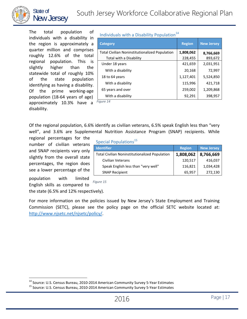

The total population of individuals with a disability in the region is approximately a quarter million and comprises roughly 12.6% of the total regional population. This is slightly higher than the statewide total of roughly 10% of the state population identifying as having a disability. Of the prime working‐age population (18‐64 years of age) approximately 10.3% have a disability.

#### Individuals with a Disability Population $14$

| <b>Category</b>                                       | <b>Region</b> | <b>New Jersey</b> |
|-------------------------------------------------------|---------------|-------------------|
| <b>Total Civilian Noninstitutionalized Population</b> | 1,808,062     | 8,766,669         |
| Total with a Disability                               | 228,455       | 893,672           |
| Under 18 years                                        | 421,659       | 2,031,951         |
| With a disability                                     | 20,168        | 72,997            |
| 18 to 64 years                                        | 1,127,401     | 5,524,850         |
| With a disability                                     | 115,996       | 421,718           |
| 65 years and over                                     | 259,002       | 1,209,868         |
| With a disability                                     | 92,291        | 398,957           |

*Figure 14*

Of the regional population, 6.6% identify as civilian veterans, 6.5% speak English less than "very well", and 3.6% are Supplemental Nutrition Assistance Program (SNAP) recipients. While

regional percentages for the number of civilian veterans and SNAP recipients vary only slightly from the overall state percentages, the region does see a lower percentage of the

population with limited English skills as compared to the state (6.5% and 12% respectively).

Special Populations<sup>15</sup>

| <b>Identifier</b>                                     | <b>Region</b> | New Jersey |
|-------------------------------------------------------|---------------|------------|
| <b>Total Civilian Noninstitutionalized Population</b> | 1,808,062     | 8,766,669  |
| Civilian Veterans                                     | 120,517       | 416,037    |
| Speak English less than "very well"                   | 116,821       | 1,034,428  |
| <b>SNAP Recipient</b>                                 | 65,957        | 272,130    |

*Figure 15*

For more information on the policies issued by New Jersey's State Employment and Training Commission (SETC), please see the policy page on the official SETC website located at: http://www.njsetc.net/njsetc/policy/.

<sup>&</sup>lt;sup>14</sup> Source: U.S. Census Bureau, 2010‐2014 American Community Survey 5‐Year Estimates<br><sup>15</sup> Source: U.S. Census Bureau, 2010‐2014 American Community Survey 5‐Year Estimates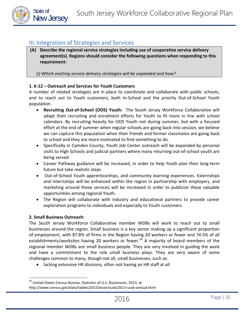## III. Integration of Strategies and Services

**(A) Describe the regional service strategies including use of cooperative service delivery agreement(s). Regions should consider the following questions when responding to this requirement:**

*(i) Which existing service delivery strategies will be expanded and how?*

#### **1. K‐12 – Outreach and Services for Youth Customers**

A number of related strategies are in place to coordinate and collaborate with public schools, and to reach out to Youth customers, both In‐School and the priority Out‐of‐School Youth population.

- **Recruiting Out‐of‐School (OOS) Youth:**  The South Jersey Workforce Collaborative will adapt their recruiting and enrolment efforts for Youth to fit more in line with school calendars. By recruiting heavily for OOS Youth not during summer, but with a focused effort at the end of summer when regular schools are going back into session, we believe we can capture this population when their friends and former classmates are going back to school and they are more motivated to find something to do.
- Specifically in Camden County, Youth Job Center outreach will be expanded by personal visits to High Schools and judicial partners where many returning out‐of‐school youth are being served.
- Career Pathway guidance will be increased, in order to help Youth plan their long-term future but take realistic steps
- Out-of-School Youth apprenticeships, and community learning experiences. Externships and internships will be enhanced within the region in partnership with employers, and marketing around these services will be increased in order to publicize these valuable opportunities among regional Youth.
- The Region will collaborate with industry and educational partners to provide career exploration programs to individuals and especially to Youth customers.

#### **2. Small Business Outreach:**

The South Jersey Workforce Collaborative member WDBs will work to reach out to small businesses around the region. Small business is a key sector making up a significant proportion of employment, with 87.8% of firms in the Region having 20 workers or fewer and 74.5% of all establishments/worksites having 20 workers or fewer.<sup>16</sup> A majority of board members of the regional member WDBs are small business people. They are very involved in guiding the work and have a commitment to the role small business plays. They are very aware of some challenges common to many, though not all, small businesses, such as:

• lacking extensive HR divisions, often not having an HR staff at all

  $^{16}$  United States Census Bureau, Statistics of U.S. Businesses, 2013, at http://www.census.gov/data/tables/2013/econ/susb/2013‐susb‐annual.html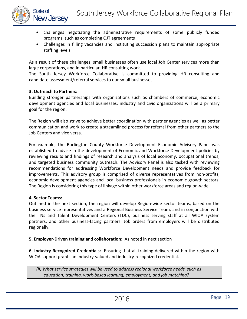

- challenges negotiating the administrative requirements of some publicly funded programs, such as completing OJT agreements
- Challenges in filling vacancies and instituting succession plans to maintain appropriate staffing levels

As a result of these challenges, small businesses often use local Job Center services more than large corporations, and in particular, HR consulting work.

The South Jersey Workforce Collaborative is committed to providing HR consulting and candidate assessment/referral services to our small businesses.

#### **3. Outreach to Partners:**

Building stronger partnerships with organizations such as chambers of commerce, economic development agencies and local businesses, industry and civic organizations will be a primary goal for the region.

The Region will also strive to achieve better coordination with partner agencies as well as better communication and work to create a streamlined process for referral from other partners to the Job Centers and vice versa.

For example, the Burlington County Workforce Development Economic Advisory Panel was established to advise in the development of Economic and Workforce Development policies by reviewing results and findings of research and analysis of local economy, occupational trends, and targeted business community outreach. The Advisory Panel is also tasked with reviewing recommendations for addressing Workforce Development needs and provide feedback for improvements. This advisory group is comprised of diverse representatives from non‐profits, economic development agencies and local business professionals in economic growth sectors. The Region is considering this type of linkage within other workforce areas and region‐wide.

#### **4. Sector Teams:**

Outlined in the next section, the region will develop Region‐wide sector teams, based on the business service representatives and a Regional Business Service Team, and in conjunction with the TNs and Talent Development Centers (TDC), business serving staff at all WIOA system partners, and other business-facing partners. Job orders from employers will be distributed regionally.

**5. Employer‐Driven training and collaboration:** As noted in next section

**6. Industry Recognized Credentials:** Ensuring that all training delivered within the region with WIOA support grants an industry‐valued and industry‐recognized credential.

*(ii) What service strategies will be used to address regional workforce needs, such as education, training, work‐based learning, employment, and job matching?*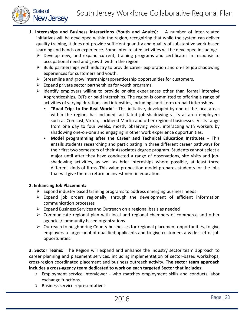

- **1. Internships and Business Interactions (Youth and Adults):**  A number of inter‐related initiatives will be developed within the region, recognizing that while the system can deliver quality training, it does not provide sufficient quantity and quality of substantive work‐based learning and hands‐on experience. Some inter‐related activities will be developed including:
	- $\triangleright$  Develop new, and expand current, training programs and certificates in response to occupational need and growth within the region.
	- $\triangleright$  Build partnerships with industry to provide career exploration and on-site job shadowing experiences for customers and youth.
	- $\triangleright$  Streamline and grow internship/apprenticeship opportunities for customers.
	- $\triangleright$  Expand private sector partnerships for youth programs.
	- Identify employers willing to provide on‐site experiences other than formal intensive Apprenticeships, OJTs or paid internships. The region is committed to offering a range of activities of varying durations and intensities, including short‐term un‐paid internships.
		- **"Road Trips to the Real World"** This initiative, developed by one of the local areas within the region, has included facilitated job-shadowing visits at area employers such as Comcast, Virtua, Lockheed Martin and other regional businesses. Visits range from one day to four weeks, mostly observing work, interacting with workers by shadowing one‐on‐one and engaging in other work experience opportunities.
		- **Model programming after the Career and Technical Education Institutes** This entails students researching and participating in three different career pathways for their first two semesters of their Associates degree program. Students cannot select a major until after they have conducted a range of observations, site visits and jobshadowing activities, as well as brief internships where possible, at least three different kinds of firms. This value proposition model prepares students for the jobs that will give them a return on investment in education.

#### **2. Enhancing Job Placement:**

- $\triangleright$  Expand industry based training programs to address emerging business needs
- $\triangleright$  Expand job orders regionally, through the development of efficient information communication processes
- Expand Business Services and Outreach on a regional basis as needed
- $\triangleright$  Communicate regional plan with local and regional chambers of commerce and other agencies/community based organizations
- $\triangleright$  Outreach to neighboring County businesses for regional placement opportunities, to give employers a larger pool of qualified applicants and to give customers a wider set of job opportunities.

**3. Sector Teams:**  The Region will expand and enhance the industry sector team approach to career planning and placement services, including implementation of sector‐based workshops, cross‐region coordinated placement and business outreach activity. **The sector team approach includes a cross‐agency team dedicated to work on each targeted Sector that includes:**

- o Employment service interviewer ‐ who matches employment skills and conducts labor exchange functions.
- o Business service representatives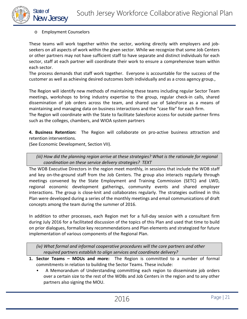

These teams will work together within the sector, working directly with employers and job‐ seekers on all aspects of work within the given sector. While we recognize that some Job Centers or other partners may not have sufficient staff to have separate and distinct individuals for each sector, staff at each partner will coordinate their work to ensure a comprehensive team within each sector.

The process demands that staff work together. Everyone is accountable for the success of the customer as well as achieving desired outcomes both individually and as a cross agency group.,

The Region will identify new methods of maintaining these teams including regular Sector Team meetings, workshops to bring industry expertise to the group, regular check-in calls, shared dissemination of job orders across the team, and shared use of SalesForce as a means of maintaining and managing data on business interactions and the "case file" for each firm.

The Region will coordinate with the State to facilitate Salesforce access for outside partner firms such as the colleges, chambers, and WIOA system partners

**4. Business Retention:**  The Region will collaborate on pro‐active business attraction and retention interventions.

(See Economic Development, Section VII).

*(iii) How did the planning region arrive at these strategies? What is the rationale for regional coordination on these service delivery strategies? TEXT*

The WDB Executive Directors in the region meet monthly, in sessions that include the WDB staff and key on-the-ground staff from the Job Centers. The group also interacts regularly through meetings convened by the State Employment and Training Commission (SETC) and LWD, regional economic development gatherings, community events and shared employer interactions. The group is close‐knit and collaborates regularly. The strategies outlined in this Plan were developed during a series of the monthly meetings and email communications of draft concepts among the team during the summer of 2016.

In addition to other processes, each Region met for a full‐day session with a consultant firm during July 2016 for a facilitated discussion of the topics of this Plan and used that time to build on prior dialogues, formalize key recommendations and Plan elements and strategized for future implementation of various components of the Regional Plan.

*(iv) What formal and informal cooperative procedures will the core partners and other required partners establish to align services and coordinate delivery?*

- **1. Sector Teams – MOUs and more:** The Region is committed to a number of formal commitments in relation to building the Sector Teams. These include:
	- A Memorandum of Understanding committing each region to disseminate job orders over a certain size to the rest of the WDBs and Job Centers in the region and to any other partners also signing the MOU.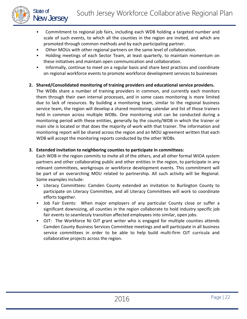

- Commitment to regional job fairs, including each WDB holding a targeted number and scale of such events, to which all the counties in the region are invited, and which are promoted through common methods and by each participating partner.
- Other MOUs with other regional partners on the same level of collaboration.
- Holding meetings of each Sector Team, at least quarterly, to maintain momentum on these initiatives and maintain open communication and collaboration.
- Informally, continue to meet on a regular basis and share best practices and coordinate on regional workforce events to promote workforce development services to businesses

#### **2. Shared/Consolidated monitoring of training providers and educational service providers.**

The WDBs share a number of training providers in common, and currently each monitors them through their own internal processes, and in some cases monitoring is more limited due to lack of resources. By building a monitoring team, similar to the regional business service team, the region will develop a shared monitoring calendar and list of those trainers held in common across multiple WDBs. One monitoring visit can be conducted during a monitoring period with these entities, generally by the county/WDB in which the trainer or main site is located or that does the majority of work with that trainer. The information and monitoring report will be shared across the region and an MOU agreement written that each WDB will accept the monitoring reports conducted by the other WDBs

#### **3. Extended invitation to neighboring counties to participate in committees:**

Each WDB in the region commits to invite all of the others, and all other formal WIOA system partners and other collaborating public and other entities in the region, to participate in any relevant committees, workgroups or workforce development events. This commitment will be part of an overarching MOU related to partnership. All such activity will be Regional. Some examples include:

- Literacy Committees: Camden County extended an invitation to Burlington County to participate on Literacy Committee, and all Literacy Committees will work to coordinate efforts together.
- Job Fair Events: When major employers of any particular County close or suffer a significant downsizing, all counties in the region collaborate to hold industry specific job fair events to seamlessly transition affected employees into similar, open jobs.
- OJT: The Workforce NJ OJT grant writer who is engaged for multiple counties attends Camden County Business Services Committee meetings and will participate in all business service committees in order to be able to help build multi‐firm OJT curricula and collaborative projects across the region.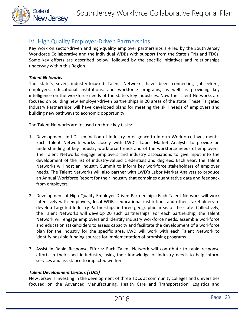

## IV. High Quality Employer‐Driven Partnerships

Key work on sector-driven and high-quality employer partnerships are led by the South Jersey Workforce Collaborative and the individual WDBs with support from the State's TNs and TDCs. Some key efforts are described below, followed by the specific initiatives and relationships underway within this Region.

#### *Talent Networks*

The state's seven industry-focused Talent Networks have been connecting jobseekers, employers, educational institutions, and workforce programs, as well as providing key intelligence on the workforce needs of the state's key industries. Now the Talent Networks are focused on building new employer‐driven partnerships in 20 areas of the state. These Targeted Industry Partnerships will have developed plans for meeting the skill needs of employers and building new pathways to economic opportunity.

The Talent Networks are focused on three key tasks:

- 1. Development and Dissemination of Industry Intelligence to Inform Workforce Investments: Each Talent Network works closely with LWD's Labor Market Analysts to provide an understanding of key industry workforce trends and of the workforce needs of employers. The Talent Networks engage employers and industry associations to give input into the development of the list of industry‐valued credentials and degrees. Each year, the Talent Networks will host an Industry Summit to inform key workforce stakeholders of employer needs. The Talent Networks will also partner with LWD's Labor Market Analysts to produce an Annual Workforce Report for their industry that combines quantitative data and feedback from employers.
- 2. Development of High-Quality Employer-Driven Partnerships: Each Talent Network will work intensively with employers, local WDBs, educational institutions and other stakeholders to develop Targeted Industry Partnerships in three geographic areas of the state. Collectively, the Talent Networks will develop 20 such partnerships. For each partnership, the Talent Network will engage employers and identify industry workforce needs, assemble workforce and education stakeholders to assess capacity and facilitate the development of a workforce plan for the industry for the specific area. LWD will work with each Talent Network to identify possible funding sources for implementation of promising programs.
- 3. Assist in Rapid Response Efforts: Each Talent Network will contribute to rapid response efforts in their specific industry, using their knowledge of industry needs to help inform services and assistance to impacted workers.

#### *Talent Development Centers (TDCs)*

New Jersey is investing in the development of three TDCs at community colleges and universities focused on the Advanced Manufacturing, Health Care and Transportation, Logistics and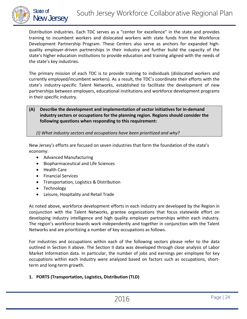

Distribution industries. Each TDC serves as a "center for excellence" in the state and provides training to incumbent workers and dislocated workers with state funds from the Workforce Development Partnership Program. These Centers also serve as anchors for expanded highquality employer‐driven partnerships in their industry and further build the capacity of the state's higher education institutions to provide education and training aligned with the needs of the state's key industries.

The primary mission of each TDC is to provide training to individuals (dislocated workers and currently employed/incumbent workers). As a result, the TDC's coordinate their efforts with the state's industry‐specific Talent Networks, established to facilitate the development of new partnerships between employers, educational institutions and workforce development programs in their specific industry.

#### **(A) Describe the development and implementation of sector initiatives for in‐demand industry sectors or occupations for the planning region. Regions should consider the following questions when responding to this requirement:**

*(i) What industry sectors and occupations have been prioritized and why?*

New Jersey's efforts are focused on seven industries that form the foundation of the state's economy:

- Advanced Manufacturing
- Biopharmaceutical and Life Sciences
- Health Care
- Financial Services
- Transportation, Logistics & Distribution
- Technology
- Leisure, Hospitality and Retail Trade

As noted above, workforce development efforts in each industry are developed by the Region in conjunction with the Talent Networks, grantee organizations that focus statewide effort on developing industry intelligence and high quality employer partnerships within each industry. The region's workforce boards work independently and together in conjunction with the Talent Networks and are prioritizing a number of key occupations as follows.

For industries and occupations within each of the following sectors please refer to the data outlined in Section II above. The Section II data was developed through close analysis of Labor Market Information data. In particular, the number of jobs and earnings per employee for key occupations within each industry were analyzed based on factors such as occupations, short‐ term and long‐term growth.

#### **1. PORTS (Transportation, Logistics, Distribution (TLD)**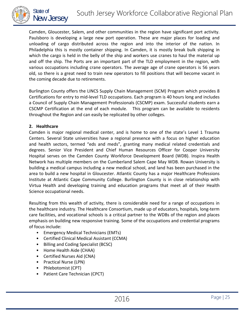

Camden, Gloucester, Salem, and other communities in the region have significant port activity. Paulsboro is developing a large new port operation. These are major places for loading and unloading of cargo distributed across the region and into the interior of the nation. In Philadelphia this is mostly container shipping. In Camden, it is mostly break bulk shipping in which the cargo is held in the belly of the ship and workers use cranes to haul the material up and off the ship. The Ports are an important part of the TLD employment in the region, with various occupations including crane operators. The average age of crane operators is 56 years old, so there is a great need to train new operators to fill positions that will become vacant in the coming decade due to retirements.

Burlington County offers the LINCS Supply Chain Management (SCM) Program which provides 8 Certifications for entry to mid‐level TLD occupations. Each program is 40 hours long and includes a Council of Supply Chain Management Professionals (CSCMP) exam. Successful students earn a CSCMP Certification at the end of each module. This program can be available to residents throughout the Region and can easily be replicated by other colleges.

#### **2. Healthcare**

Camden is major regional medical center, and is home to one of the state's Level 1 Trauma Centers. Several State universities have a regional presence with a focus on higher education and health sectors, termed "eds and meds", granting many medical related credentials and degrees. Senior Vice President and Chief Human Resources Officer for Cooper University Hospital serves on the Camden County Workforce Development Board (WDB). Inspira Health Network has multiple members on the Cumberland Salem Cape May WDB. Rowan University is building a medical campus including a new medical school, and land has been purchased in the area to build a new hospital in Gloucester. Atlantic County has a major Healthcare Professions Institute at Atlantic Cape Community College. Burlington County is in close relationship with Virtua Health and developing training and education programs that meet all of their Health Science occupational needs.

Resulting from this wealth of activity, there is considerable need for a range of occupations in the healthcare industry. The Healthcare Consortium, made up of educators, hospitals, long‐term care facilities, and vocational schools is a critical partner to the WDBs of the region and places emphasis on building new responsive training. Some of the occupations and credential programs of focus include:

- Emergency Medical Technicians (EMTs)
- Certified Clinical Medical Assistant (CCMA)
- Billing and Coding Specialist (BCSC)
- Home Health Aide (CHAA)
- Certified Nurses Aid (CNA)
- Practical Nurse (LPN)
- Phlebotomist (CPT)
- Patient Care Technician (CPCT)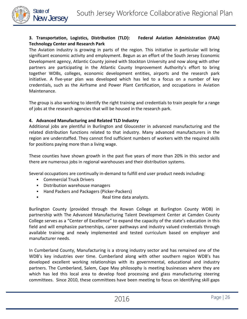

#### **3. Transportation, Logistics, Distribution (TLD): Federal Aviation Administration (FAA) Technology Center and Research Park**

The Aviation industry is growing in parts of the region. This initiative in particular will bring significant economic activity and employment. Begun as an effort of the South Jersey Economic Development agency, Atlantic County joined with Stockton University and now along with other partners are participating in the Atlantic County Improvement Authority's effort to bring together WDBs, colleges, economic development entities, airports and the research park initiative. A five-year plan was developed which has led to a focus on a number of key credentials, such as the Airframe and Power Plant Certification, and occupations in Aviation Maintenance.

The group is also working to identify the right training and credentials to train people for a range of jobs at the research agencies that will be housed in the research park.

#### **4. Advanced Manufacturing and Related TLD Industry**

Additional jobs are plentiful in Burlington and Gloucester in advanced manufacturing and the related distribution functions related to that industry. Many advanced manufacturers in the region are understaffed. They cannot find sufficient numbers of workers with the required skills for positions paying more than a living wage.

These counties have shown growth in the past five years of more than 20% in this sector and there are numerous jobs in regional warehouses and their distribution systems.

Several occupations are continually in‐demand to fulfill end user product needs including:

- Commercial Truck Drivers
- Distribution warehouse managers
- Hand Packers and Packagers (Picker‐Packers)
- Real time data analysts.

Burlington County (provided through the Rowan College at Burlington County WDB) in partnership with The Advanced Manufacturing Talent Development Center at Camden County College serves as a "Center of Excellence" to expand the capacity of the state's education in this field and will emphasize partnerships, career pathways and industry valued credentials through available training and newly implemented and tested curriculum based on employer and manufacturer needs.

In Cumberland County, Manufacturing is a strong industry sector and has remained one of the WDB's key industries over time. Cumberland along with other southern region WDB's has developed excellent working relationships with its governmental, educational and industry partners. The Cumberland, Salem, Cape May philosophy is meeting businesses where they are which has led this local area to develop food processing and glass manufacturing steering committees. Since 2010, these committees have been meeting to focus on Identifying skill gaps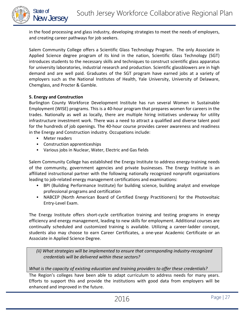

in the food processing and glass industry, developing strategies to meet the needs of employers, and creating career pathways for job seekers.

Salem Community College offers a Scientific Glass Technology Program. The only Associate in Applied Science degree program of its kind in the nation, Scientific Glass Technology (SGT) introduces students to the necessary skills and techniques to construct scientific glass apparatus for university laboratories, industrial research and production. Scientific glassblowers are in high demand and are well paid. Graduates of the SGT program have earned jobs at a variety of employers such as the National Institutes of Health, Yale University, University of Delaware, Chemglass, and Procter & Gamble.

#### **5. Energy and Construction**

Burlington County Workforce Development Institute has run several Women in Sustainable Employment (WISE) programs. This is a 40‐hour program that prepares women for careers in the trades. Nationally as well as locally, there are multiple hiring initiatives underway for utility infrastructure investment work. There was a need to attract a qualified and diverse talent pool for the hundreds of job openings. The 40-hour course provides career awareness and readiness in the Energy and Construction industry. Occupations include:

- Meter readers
- Construction apprenticeships
- Various jobs in Nuclear, Water, Electric and Gas fields

Salem Community College has established the Energy Institute to address energy-training needs of the community, government agencies and private businesses. The Energy Institute is an affiliated instructional partner with the following nationally recognized nonprofit organizations leading to job-related energy management certifications and examinations:

- BPI (Building Performance Institute) for building science, building analyst and envelope professional programs and certification
- NABCEP (North American Board of Certified Energy Practitioners) for the Photovoltaic Entry‐Level Exam.

The Energy Institute offers short‐cycle certification training and testing programs in energy efficiency and energy management, leading to new skills for employment. Additional courses are continually scheduled and customized training is available. Utilizing a career‐ladder concept, students also may choose to earn Career Certificates, a one‐year Academic Certificate or an Associate in Applied Science Degree.

*(ii) What strategies will be implemented to ensure that corresponding industry‐recognized credentials will be delivered within these sectors?* 

#### *What is the capacity of existing education and training providers to offer these credentials?*

The Region's colleges have been able to adapt curriculum to address needs for many years. Efforts to support this and provide the institutions with good data from employers will be enhanced and improved in the future.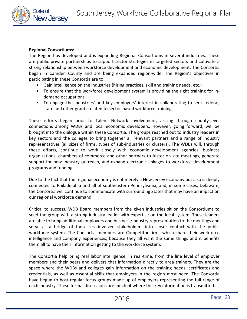South Jersey Workforce Collaborative Regional Plan



#### **Regional Consortiums:**

The Region has developed and is expanding Regional Consortiums in several industries. These are public private partnerships to support sector strategies in targeted sectors and cultivate a strong relationship between workforce development and economic development. The Consortia began in Camden County and are being expanded region‐wide. The Region's objectives in participating in these Consortia are to:

- Gain intelligence on the industries (hiring practices, skill and training needs, etc.)
- To ensure that the workforce development system is providing the right training for indemand occupations
- To engage the industries' and key employers' interest in collaborating to seek federal, state and other grants related to sector‐based workforce training

These efforts began prior to Talent Network involvement, arising through county‐level connections among WDBs and local economic developers. However, going forward, will be brought into the dialogue within these Consortia. The groups reached out to industry leaders in key sectors and the colleges to bring together all relevant partners and a range of industry representatives (all sizes of firms, types of sub-industries or clusters). The WDBs will, through these efforts, continue to work closely with economic development agencies, business organizations, chambers of commerce and other partners to foster on site meetings, generate support for new industry outreach, and expand electronic linkages to workforce development programs and funding.

Due to the fact that the regional economy is not merely a New Jersey economy but also is deeply connected to Philadelphia and all of southeastern Pennsylvania, and, in some cases, Delaware, the Consortia will continue to communicate with surrounding States that may have an impact on our regional workforce demand.

Critical to success, WDB Board members from the given industries sit on the Consortiums to seed the group with a strong industry leader with expertise on the local system. These leaders are able to bring additional employers and business/industry representation to the meetings and serve as a bridge of these less-involved stakeholders into closer contact with the public workforce system. The Consortia members are Competitor firms which share their workforce intelligence and company experiences, because they all want the same things and it benefits them all to have their information getting to the workforce system.

The Consortia help bring real labor intelligence, in real-time, from the line level of employer members and their peers and delivers that information directly to area trainers. They are the space where the WDBs and colleges gain information on the training needs, certificates and credentials, as well as essential skills that employers in the region most need. The Consortia have begun to host regular focus groups made up of employers representing the full range of each industry. These formal discussions are much of where this key information is transmitted.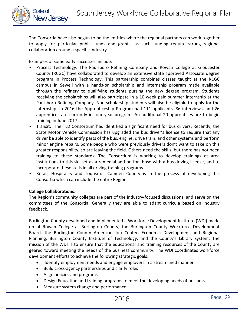

The Consortia have also begun to be the entities where the regional partners can work together to apply for particular public funds and grants, as such funding require strong regional collaboration around a specific industry.

Examples of some early successes include:

- Process Technology: The Paulsboro Refining Company and Rowan College at Gloucester County (RCGC) have collaborated to develop an extensive state approved Associate degree program in Process Technology. This partnership combines classes taught at the RCGC campus in Sewell with a hands‐on scholarship and internship program made available through the refinery to qualifying students pursing the new degree program. Students receiving the scholarships will also participate in a 10‐week paid summer internship at the Paulsboro Refining Company. Non‐scholarship students will also be eligible to apply for the internship. In 2016 the Apprenticeship Program had 111 applicants, 86 interviews, and 26 apprentices are currently in four year program. An additional 20 apprentices are to begin training in June 2017.
- Transit: The TLD Consortium has identified a significant need for bus drivers. Recently, the State Motor Vehicle Commission has upgraded the bus driver's license to require that any driver be able to identify parts of the bus, engine, drive train, and other systems and perform minor engine repairs. Some people who were previously drivers don't want to take on this greater responsibility, so are leaving the field. Others need the skills, but there has not been training to these standards. The Consortium is working to develop trainings at area institutions to this skillset as a remedial add‐on for those with a bus driving license, and to incorporate these skills in all driving training programs.
- Retail, Hospitality and Tourism: Camden County is in the process of developing this Consortia which can include the entire Region.

#### **College Collaborations:**

The Region's community colleges are part of the industry‐focused discussions, and serve on the committees of the Consortia. Generally they are able to adapt curricula based on industry feedback.

Burlington County developed and implemented a Workforce Development Institute (WDI) made up of Rowan College at Burlington County, the Burlington County Workforce Development Board, the Burlington County American Job Center, Economic Development and Regional Planning, Burlington County Institute of Technology, and the County's Library system. The mission of the WDI is to ensure that the educational and training resources of the County are geared toward meeting the needs of the business community. The WDI coordinates workforce development efforts to achieve the following strategic goals:

- Identify employment needs and engage employers in a streamlined manner
- Build cross-agency partnerships and clarify roles
- Align policies and programs
- Design Education and training programs to meet the developing needs of business
- Measure system change and performance.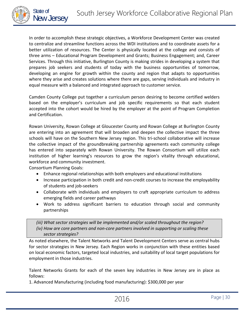

In order to accomplish these strategic objectives, a Workforce Development Center was created to centralize and streamline functions across the WDI institutions and to coordinate assets for a better utilization of resources. The Center is physically located at the college and consists of three arms – Educational Program Development and Grants; Business Engagement; and, Career Services. Through this initiative, Burlington County is making strides in developing a system that prepares job seekers and students of today with the business opportunities of tomorrow, developing an engine for growth within the county and region that adapts to opportunities where they arise and creates solutions where there are gaps, serving individuals and industry in equal measure with a balanced and integrated approach to customer service.

Camden County College put together a curriculum person desiring to become certified welders based on the employer's curriculum and job specific requirements so that each student accepted into the cohort would be hired by the employer at the point of Program Completion and Certification.

Rowan University, Rowan College at Gloucester County and Rowan College at Burlington County are entering into an agreement that will broaden and deepen the collective impact the three schools will have on the Southern New Jersey region. This tri‐school collaborative will increase the collective impact of the groundbreaking partnership agreements each community college has entered into separately with Rowan University. The Rowan Consortium will utilize each institution of higher learning's resources to grow the region's vitality through educational, workforce and community investment.

Consortium Planning Goals:

- Enhance regional relationships with both employers and educational institutions
- Increase participation in both credit and non-credit courses to increase the employability of students and job‐seekers
- Collaborate with individuals and employers to craft appropriate curriculum to address emerging fields and career pathways
- Work to address significant barriers to education through social and community partnerships

*(iii) What sector strategies will be implemented and/or scaled throughout the region? (iv) How are core partners and non‐core partners involved in supporting or scaling these sector strategies?*

As noted elsewhere, the Talent Networks and Talent Development Centers serve as central hubs for sector strategies in New Jersey. Each Region works in conjunction with these entities based on local economic factors, targeted local industries, and suitability of local target populations for employment in those industries.

Talent Networks Grants for each of the seven key industries in New Jersey are in place as follows:

1. Advanced Manufacturing (including food manufacturing): \$300,000 per year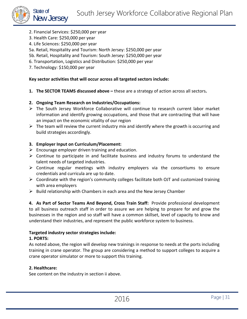

3. Health Care: \$250,000 per year

State of

- 4. Life Sciences: \$250,000 per year
- 5a. Retail, Hospitality and Tourism: North Jersey: \$250,000 per year
- 5b. Retail, Hospitality and Tourism: South Jersey: \$250,000 per year
- 6. Transportation, Logistics and Distribution: \$250,000 per year
- 7. Technology: \$150,000 per year

#### **Key sector activities that will occur across all targeted sectors include:**

**1. The SECTOR TEAMS discussed above –** these are a strategy of action across all sectors**.**

#### **2. Ongoing Team Research on Industries/Occupations:**

- The South Jersey Workforce Collaborative will continue to research current labor market information and identify growing occupations, and those that are contracting that will have an impact on the economic vitality of our region
- $\triangleright$  The team will review the current industry mix and identify where the growth is occurring and build strategies accordingly.

#### **3. Employer Input on Curriculum/Placement:**

- $\triangleright$  Encourage employer driven training and education.
- $\triangleright$  Continue to participate in and facilitate business and industry forums to understand the talent needs of targeted industries.
- $\triangleright$  Continue regular meetings with industry employers via the consortiums to ensure credentials and curricula are up to date.
- $\triangleright$  Coordinate with the region's community colleges facilitate both OJT and customized training with area employers
- $\triangleright$  Build relationship with Chambers in each area and the New Jersey Chamber

**4. As Part of Sector Teams And Beyond, Cross Train Staff:** Provide professional development to all business outreach staff in order to assure we are helping to prepare for and grow the businesses in the region and so staff will have a common skillset, level of capacity to know and understand their industries, and represent the public workforce system to business.

#### **Targeted industry sector strategies include:**

#### **1. PORTS:**

As noted above, the region will develop new trainings in response to needs at the ports including training in crane operator. The group are considering a method to support colleges to acquire a crane operator simulator or more to support this training.

#### **2. Healthcare:**

See content on the industry in section ii above.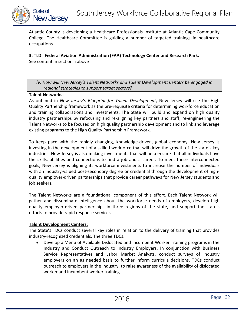

Atlantic County is developing a Healthcare Professionals Institute at Atlantic Cape Community College. The Healthcare Committee is guiding a number of targeted trainings in healthcare occupations.

#### **3. TLD Federal Aviation Administration (FAA) Technology Center and Research Park.**

See content in section ii above

*(v) How will New Jersey's Talent Networks and Talent Development Centers be engaged in regional strategies to support target sectors?*

#### **Talent Networks:**

As outlined in *New Jersey's Blueprint for Talent Development*, New Jersey will use the High Quality Partnership framework as the pre‐requisite criteria for determining workforce education and training collaborations and investments. The State will build and expand on high quality industry partnerships by refocusing and re-aligning key partners and staff; re-engineering the Talent Networks to be focused on high quality partnership development and to link and leverage existing programs to the High Quality Partnership Framework.

To keep pace with the rapidly changing, knowledge‐driven, global economy, New Jersey is investing in the development of a skilled workforce that will drive the growth of the state's key industries. New Jersey is also making investments that will help ensure that all individuals have the skills, abilities and connections to find a job and a career. To meet these interconnected goals, New Jersey is aligning its workforce investments to increase the number of individuals with an industry-valued post-secondary degree or credential through the development of highquality employer‐driven partnerships that provide career pathways for New Jersey students and job seekers.

The Talent Networks are a foundational component of this effort. Each Talent Network will gather and disseminate intelligence about the workforce needs of employers, develop high quality employer‐driven partnerships in three regions of the state, and support the state's efforts to provide rapid response services.

#### **Talent Development Centers:**

The State's TDCs conduct several key roles in relation to the delivery of training that provides industry‐recognized credentials. The three TDCs:

 Develop a Menu of Available Dislocated and Incumbent Worker Training programs in the Industry and Conduct Outreach to Industry Employers. In conjunction with Business Service Representatives and Labor Market Analysts, conduct surveys of industry employers on an as needed basis to further inform curricula decisions. TDCs conduct outreach to employers in the industry, to raise awareness of the availability of dislocated worker and incumbent worker training.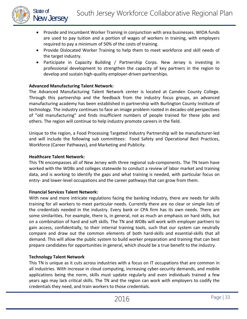

- Provide and Incumbent Worker Training in conjunction with area businesses. WIOA funds are used to pay tuition and a portion of wages of workers in training, with employers required to pay a minimum of 50% of the costs of training.
- Provide Dislocated Worker Training to help them to meet workforce and skill needs of the target industry.
- Participate in Capacity Building / Partnership Corps. New Jersey is investing in professional development to strengthen the capacity of key partners in the region to develop and sustain high‐quality employer‐driven partnerships.

#### **Advanced Manufacturing Talent Network:**

The Advanced Manufacturing Talent Network center is located at Camden County College. Through this partnership and the feedback from the industry focus groups, an advanced manufacturing academy has been established in partnership with Burlington County Institute of technology. The industry continues to face an image problem rooted in decades‐old perspectives of "old manufacturing" and finds insufficient numbers of people trained for these jobs and others. The region will continue to help industry promote careers in the field.

Unique to the region, a Food Processing Targeted Industry Partnership will be manufacturer‐led and will include the following sub committees: Food Safety and Operational Best Practices, Workforce (Career Pathways), and Marketing and Publicity.

#### **Healthcare Talent Network:**

This TN encompasses all of New Jersey with three regional sub‐components. The TN team have worked with the WDBs and colleges statewide to conduct a review of labor market and training data, and is working to identify the gaps and what training is needed, with particular focus on entry- and lower-level occupations and the career pathways that can grow from them.

#### **Financial Services Talent Network:**

With new and more intricate regulations facing the banking industry, there are needs for skills training for all workers to meet particular needs. Currently there are no clear or simple lists of the credentials needed in the industry. Every bank or CPA firm has its own needs. There are some similarities. For example, there is, in general, not as much an emphasis on hard skills, but on a combination of hard and soft skills. The TN and WDBs will work with employer partners to gain access, confidentially, to their internal training tools, such that our system can neutrally compare and draw out the common elements of both hard‐skills and essential‐skills that all demand. This will allow the public system to build worker preparation and training that can best prepare candidates for opportunities in general, which should be a true benefit to the industry.

#### **Technology Talent Network**

This TN is unique as it cuts across industries with a focus on IT occupations that are common in all industries. With increase in cloud computing, increasing cyber‐security demands, and mobile applications being the norm, skills must update regularly and even individuals trained a few years ago may lack critical skills. The TN and the region can work with employers to codify the credentials they need, and train workers to those credentials.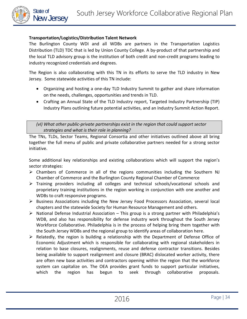

#### **Transportation/Logistics/Distribution Talent Network**

The Burlington County WDI and all WDBs are partners in the Transportation Logistics Distribution (TLD) TDC that is led by Union County College. A by‐product of that partnership and the local TLD advisory group is the institution of both credit and non‐credit programs leading to industry recognized credentials and degrees.

The Region is also collaborating with this TN in its efforts to serve the TLD industry in New Jersey. Some statewide activities of this TN include:

- Organizing and hosting a one-day TLD Industry Summit to gather and share information on the needs, challenges, opportunities and trends in TLD.
- Crafting an Annual State of the TLD Industry report, Targeted Industry Partnership (TIP) Industry Plans outlining future potential activities, and an Industry Summit Action Report.

*(vI) What other public‐private partnerships exist in the region that could support sector strategies and what is their role in planning?*

The TNs, TLDs, Sector Teams, Regional Consortia and other initiatives outlined above all bring together the full menu of public and private collaborative partners needed for a strong sector initiative.

Some additional key relationships and existing collaborations which will support the region's sector strategies:

- Chambers of Commerce in all of the regions communities including the Southern NJ Chamber of Commerce and the Burlington County Regional Chamber of Commerce
- Training providers including all colleges and technical schools/vocational schools and proprietary training institutions in the region working in conjunction with one another and WDBs to craft responsive programs.
- Business Associations including the New Jersey Food Processors Association, several local chapters and the statewide Society for Human Resource Management and others.
- $\triangleright$  National Defense Industrial Association This group is a strong partner with Philadelphia's WDB, and also has responsibility for defense industry work throughout the South Jersey Workforce Collaborative. Philadelphia is in the process of helping bring them together with the South Jersey WDBs and the regional group to identify areas of collaboration here.
- $\triangleright$  Relatedly, the region is building a relationship with the Department of Defense Office of Economic Adjustment which is responsible for collaborating with regional stakeholders in relation to base closures, realignments, reuse and defense contractor transitions. Besides being available to support realignment and closure (BRAC) dislocated worker activity, there are often new base activities and contractors opening within the region that the workforce system can capitalize on. The OEA provides grant funds to support particular initiatives, which the region has begun to seek through collaborative proposals.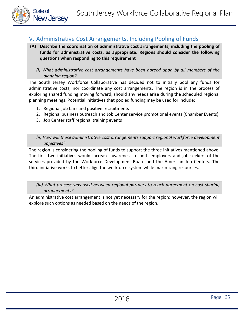

## V. Administrative Cost Arrangements, Including Pooling of Funds

- **(A) Describe the coordination of administrative cost arrangements, including the pooling of funds for administrative costs, as appropriate. Regions should consider the following questions when responding to this requirement**
	- *(i) What administrative cost arrangements have been agreed upon by all members of the planning region?*

The South Jersey Workforce Collaborative has decided not to initially pool any funds for administrative costs, nor coordinate any cost arrangements. The region is in the process of exploring shared funding moving forward, should any needs arise during the scheduled regional planning meetings. Potential initiatives that pooled funding may be used for include:

- 1. Regional job fairs and positive recruitments
- 2. Regional business outreach and Job Center service promotional events (Chamber Events)
- 3. Job Center staff regional training events

*(ii) How will these administrative cost arrangements support regional workforce development objectives?*

The region is considering the pooling of funds to support the three initiatives mentioned above. The first two initiatives would increase awareness to both employers and job seekers of the services provided by the Workforce Development Board and the American Job Centers. The third initiative works to better align the workforce system while maximizing resources.

*(III) What process was used between regional partners to reach agreement on cost sharing arrangements?*

An administrative cost arrangement is not yet necessary for the region; however, the region will explore such options as needed based on the needs of the region.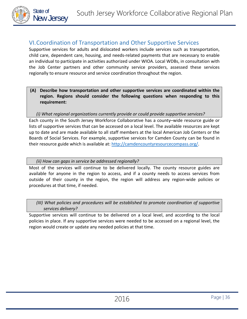

## VI.Coordination of Transportation and Other Supportive Services

Supportive services for adults and dislocated workers include services such as transportation, child care, dependent care, housing, and needs‐related payments that are necessary to enable an individual to participate in activities authorized under WIOA. Local WDBs, in consultation with the Job Center partners and other community service providers, assessed these services regionally to ensure resource and service coordination throughout the region.

**(A) Describe how transportation and other supportive services are coordinated within the region. Regions should consider the following questions when responding to this requirement:**

*(i) What regional organizations currently provide or could provide supportive services?*

Each county in the South Jersey Workforce Collaborative has a county–wide resource guide or lists of supportive services that can be accessed on a local level. The available resources are kept up to date and are made available to all staff members at the local American Job Centers or the Boards of Social Services. For example, supportive services for Camden County can be found in their resource guide which is available at: http://camdencountyresourcecompass.org/.

#### *(ii) How can gaps in service be addressed regionally?*

Most of the services will continue to be delivered locally. The county resource guides are available for anyone in the region to access, and if a county needs to access services from outside of their county in the region, the region will address any region‐wide policies or procedures at that time, if needed.

*(III) What policies and procedures will be established to promote coordination of supportive services delivery?*

Supportive services will continue to be delivered on a local level, and according to the local policies in place. If any supportive services were needed to be accessed on a regional level, the region would create or update any needed policies at that time.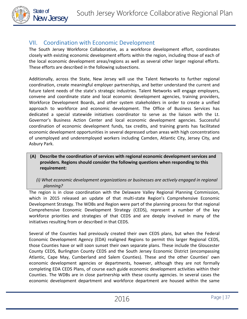

## VII. Coordination with Economic Development

The South Jersey Workforce Collaborative, as a workforce development effort, coordinates closely with existing economic development efforts within the region, including those of each of the local economic development areas/regions as well as several other larger regional efforts. These efforts are described in the following subsections.

Additionally, across the State, New Jersey will use the Talent Networks to further regional coordination, create meaningful employer partnerships, and better understand the current and future talent needs of the state's strategic industries. Talent Networks will engage employers, convene and coordinate state and local economic development agencies, training providers, Workforce Development Boards, and other system stakeholders in order to create a unified approach to workforce and economic development. The Office of Business Services has dedicated a special statewide initiatives coordinator to serve as the liaison with the Lt. Governor's Business Action Center and local economic development agencies. Successful coordination of economic development funds, tax credits, and training grants has facilitated economic development opportunities in several depressed urban areas with high concentrations of unemployed and underemployed workers including Camden, Atlantic City, Jersey City, and Asbury Park.

#### **(A) Describe the coordination of services with regional economic development services and providers. Regions should consider the following questions when responding to this requirement:**

*(i) What economic development organizations or businesses are actively engaged in regional planning?*

The region is in close coordination with the Delaware Valley Regional Planning Commission, which in 2015 released an update of that multi-state Region's Comprehensive Economic Development Strategy. The WDBs and Region were part of the planning process for that regional Comprehensive Economic Development Strategy (CEDS), represent a number of the key workforce priorities and strategies of that CEDS and are deeply involved in many of the initiatives resulting from or described in that CEDS.

Several of the Counties had previously created their own CEDS plans, but when the Federal Economic Development Agency (EDA) realigned Regions to permit this larger Regional CEDS, those Counties have or will soon sunset their own separate plans. These include the Gloucester County CEDS, Burlington County CEDS and the South Jersey Economic District (encompassing Atlantic, Cape May, Cumberland and Salem Counties). These and the other Counties' own economic development agencies or departments, however, although they are not formally completing EDA CEDS Plans, of course each guide economic development activities within their Counties. The WDBs are in close partnership with these county agencies. In several cases the economic development department and workforce department are housed within the same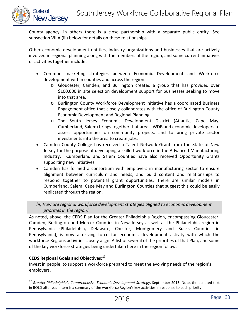

County agency, in others there is a close partnership with a separate public entity. See subsection VII.A.(iii) below for details on these relationships.

Other economic development entities, industry organizations and businesses that are actively involved in regional planning along with the members of the region, and some current initiatives or activities together include:

- Common marketing strategies between Economic Development and Workforce development within counties and across the region.
	- o Gloucester, Camden, and Burlington created a group that has provided over \$100,000 in site selection development support for businesses seeking to move into that area.
	- o Burlington County Workforce Development Initiative has a coordinated Business Engagement office that closely collaborates with the office of Burlington County Economic Development and Regional Planning
	- o The South Jersey Economic Development District (Atlantic, Cape May, Cumberland, Salem) brings together that area's WDB and economic developers to assess opportunities on community projects, and to bring private sector investments into the area to create jobs.
- Camden County College has received a Talent Network Grant from the State of New Jersey for the purpose of developing a skilled workforce in the Advanced Manufacturing Industry. Cumberland and Salem Counties have also received Opportunity Grants supporting new initiatives.
- Camden has formed a consortium with employers in manufacturing sector to ensure alignment between curriculum and needs, and build content and relationships to respond together to potential grant opportunities. There are similar models in Cumberland, Salem, Cape May and Burlington Counties that suggest this could be easily replicated through the region.

*(ii) How are regional workforce development strategies aligned to economic development priorities in the region?*

As noted, above, the CEDS Plan for the Greater Philadelphia Region, encompassing Gloucester, Camden, Burlington and Mercer Counties in New Jersey as well as the Philadelphia region in Pennsylvania (Philadelphia, Delaware, Chester, Montgomery and Bucks Counties in Pennsylvania), is now a driving force for economic development activity with which the workforce Regions activities closely align. A list of several of the priorities of that Plan, and some of the key workforce strategies being undertaken here in the region follow.

#### **CEDS Regional Goals and Objectives:17**

Invest in people, to support a workforce prepared to meet the evolving needs of the region's employers.

 <sup>17</sup> *Greater Philadelphia's Comprehensive Economic Development Strategy*, September 2015. Note, the bulleted text in BOLD after each item is a summary of the workforce Region's key activities in response to each priority.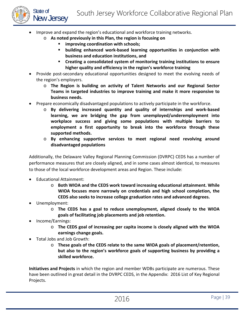

- Improve and expand the region's educational and workforce training networks.
	- o **As noted previously in this Plan, the region is focusing on** 
		- **improving coordination with schools;**
		- **building enhanced work‐based learning opportunities in conjunction with business and education institutions, and**
		- **Creating a consolidated system of monitoring training institutions to ensure higher quality and efficiency in the region's workforce training**
- Provide post-secondary educational opportunities designed to meet the evolving needs of the region's employers.
	- o **The Region is building on activity of Talent Networks and our Regional Sector Teams in targeted industries to improve training and make it more responsive to business needs.**
- Prepare economically disadvantaged populations to actively participate in the workforce.
	- o **By delivering increased quantity and quality of internships and work‐based learning, we are bridging the gap from unemployed/underemployment into workplace success and giving some populations with multiple barriers to employment a first opportunity to break into the workforce through these supported methods.**
	- o **By enhancing supportive services to meet regional need revolving around disadvantaged populations**

Additionally, the Delaware Valley Regional Planning Commission (DVRPC) CEDS has a number of performance measures that are closely aligned, and in some cases almost identical, to measures to those of the local workforce development areas and Region. These include:

- Educational Attainment:
	- o **Both WIOA and the CEDS work toward increasing educational attainment. While WIOA focuses more narrowly on credentials and high school completion, the CEDS also seeks to increase college graduation rates and advanced degrees.**
- Unemployment:
	- o **The CEDS has a goal to reduce unemployment, aligned closely to the WIOA goals of facilitating job placements and job retention.**
- Income/Earnings:
	- o **The CEDS goal of increasing per capita income is closely aligned with the WIOA earnings change goals.**
- Total Jobs and Job Growth:
	- o **These goals of the CEDS relate to the same WIOA goals of placement/retention, but also to the region's workforce goals of supporting business by providing a skilled workforce.**

**Initiatives and Projects** in which the region and member WDBs participate are numerous. These have been outlined in great detail in the DVRPC CEDS, in the Appendix: 2016 List of Key Regional Projects.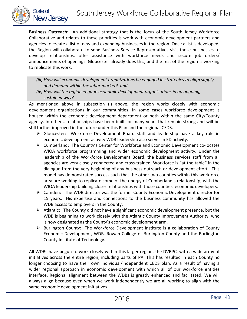

**Business Outreach:** An additional strategy that is the focus of the South Jersey Workforce Collaborative and relates to these priorities is work with economic development partners and agencies to create a list of new and expanding businesses in the region. Once a list is developed, the Region will collaborate to send Business Service Representatives visit those businesses to develop relationships, offer assistance with workforce needs and secure job orders/ announcements of openings. Gloucester already does this, and the rest of the region is working to replicate this work.

- *(iii) How will economic development organizations be engaged in strategies to align supply and demand within the labor market? and*
- *(iv) How will the region engage economic development organizations in an ongoing, sustained way?*

As mentioned above in subsection (i) above, the region works closely with economic development organizations in our communities. In some cases workforce development is housed within the economic development department or both within the same City/County agency. In others, relationships have been built for many years that remain strong and will be still further improved in the future under this Plan and the regional CEDS.

- $\triangleright$  Gloucester: Workforce Development Board staff and leadership have a key role in economic development activity WDB leadership also serves in ED activity.
- Cumberland: The County's Center for Workforce and Economic Development co‐locates WIOA workforce programming and wider economic development activity. Under the leadership of the Workforce Development Board, the business services staff from all agencies are very closely connected and cross-trained. Workforce is "at the table" in the dialogue from the very beginning of any business outreach or development effort. This model has demonstrated success such that the other two counties within this workforce area are working to replicate some of the energy of Cumberland's relationship, with the WIOA leadership building closer relationships with those counties' economic developers.
- $\triangleright$  Camden: The WDB director was the former County Economic Development director for 15 years. His expertise and connections to the business community has allowed the WDB access to employers in the County.
- $\triangleright$  Atlantic: The County did not have a significant economic development presence, but the WDB is beginning to work closely with the Atlantic County Improvement Authority, who is now designated as the County's economic development arm.
- $\triangleright$  Burlington County: The Workforce Development Institute is a collaboration of County Economic Development, WDB, Rowan College of Burlington County and the Burlington County Institute of Technology.

All WDBs have begun to work closely within this larger region, the DVRPC, with a wide array of initiatives across the entire region, including parts of PA. This has resulted in each County no longer choosing to have their own individual/independent CEDS plan. As a result of having a wider regional approach in economic development with which all of our workforce entities interface, Regional alignment between the WDBs is greatly enhanced and facilitated. We will always align because even when we work independently we are all working to align with the same economic development initiatives.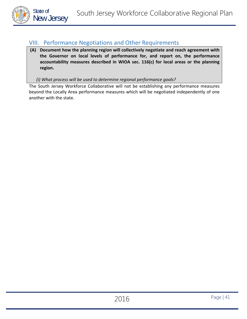

## VIII. Performance Negotiations and Other Requirements

**(A) Document how the planning region will collectively negotiate and reach agreement with the Governor on local levels of performance for, and report on, the performance accountability measures described in WIOA sec. 116(c) for local areas or the planning region.**

*(i) What process will be used to determine regional performance goals?*

The South Jersey Workforce Collaborative will not be establishing any performance measures beyond the Locally Area performance measures which will be negotiated independently of one another with the state.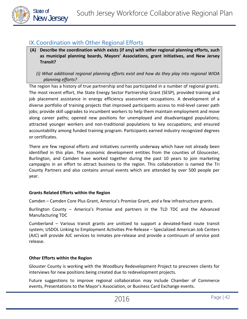

## IX.Coordination with Other Regional Efforts

- **(A) Describe the coordination which exists (if any) with other regional planning efforts, such as municipal planning boards, Mayors' Associations, grant initiatives, and New Jersey Transit?**
	- *(i) What additional regional planning efforts exist and how do they play into regional WIOA planning efforts?*

The region has a history of true partnership and has participated in a number of regional grants. The most recent effort, the State Energy Sector Partnership Grant (SESP), provided training and job placement assistance in energy efficiency assessment occupations. A development of a diverse portfolio of training projects that improved participants access to mid‐level career path jobs; provide skill upgrades to incumbent workers to help them maintain employment and move along career paths; opened new positions for unemployed and disadvantaged populations; attracted younger workers and non‐traditional populations to key occupations; and ensured accountability among funded training program. Participants earned industry recognized degrees or certificates.

There are few regional efforts and initiatives currently underway which have not already been identified in this plan. The economic development entities from the counties of Gloucester, Burlington, and Camden have worked together during the past 10 years to join marketing campaigns in an effort to attract business to the region. This collaboration is named the Tri County Partners and also contains annual events which are attended by over 500 people per year.

#### **Grants Related Efforts within the Region**

Camden – Camden Core Plus Grant, America's Promise Grant, and a few infrastructure grants.

Burlington County – America's Promise and partners in the TLD TDC and the Advanced Manufacturing TDC

Cumberland – Various transit grants are unitized to support a deviated‐fixed route transit system; USDOL Linking to Employment Activities Pre‐Release – Specialized American Job Centers (AJC) will provide AJC services to inmates pre‐release and provide a continuum of service post release.

#### **Other Efforts within the Region**

Glouster County is working with the Woodbury Redevelopment Project to prescreen clients for interviews for new positions being created due to redevelopment projects.

Future suggestions to improve regional collaboration may include Chamber of Commerce events, Presentations to the Mayor's Association, or Business Card Exchange events.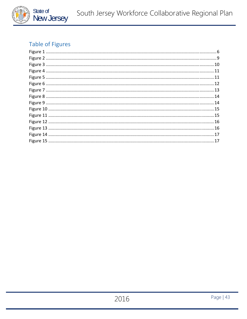

## **Table of Figures**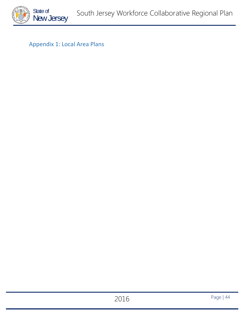

Appendix 1: Local Area Plans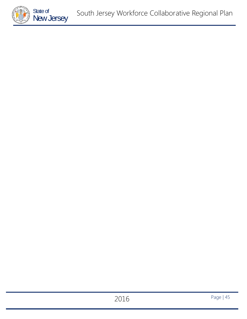